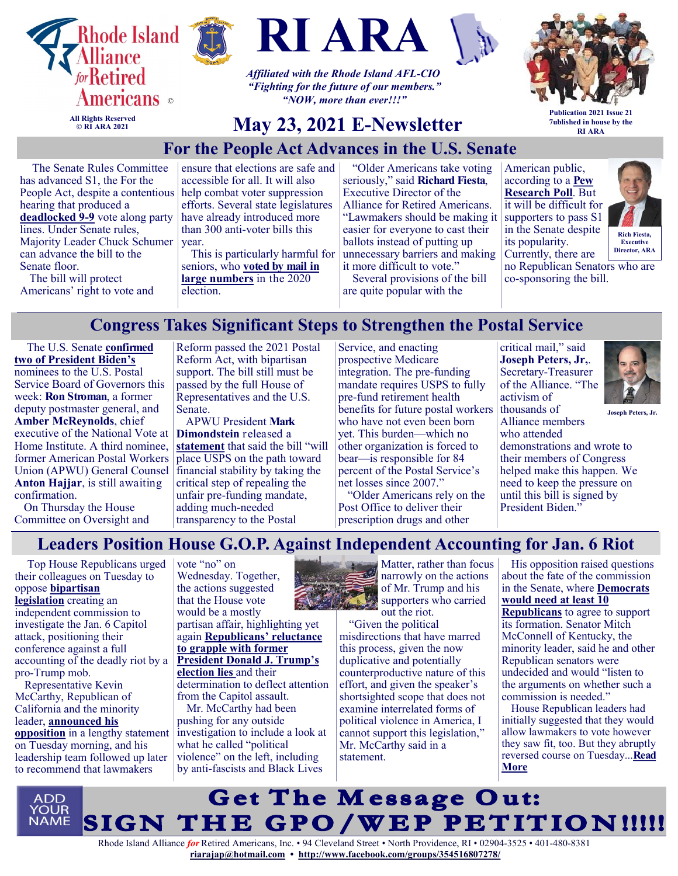





*Affiliated with the Rhode Island AFL-CIO "Fighting for the future of our members." "NOW, more than ever!!!"*



**All Rights Reserved © RI ARA 2021**

# **May 23, 2021 E-Newsletter**

**Publication 2021 Issue 21 7ublished in house by the RI ARA**

# **For the People Act Advances in the U.S. Senate**

The Senate Rules Committee has advanced S1, the For the People Act, despite a contentious hearing that produced a **[deadlocked 9](https://u1584542.ct.sendgrid.net/ss/c/atcYNHk4Eh2YdGnwBh-YDOD8i7QwzRxtiKV0LARcM9ZqyCBBC4tzv1qyF7mR2Z_rwMgrSwSifMFrWHkaIVtXbkr2m_e8ITOZ19TpzTzgOVdI2uBZXgXdWG0xW0dXfEX9FwqypGn1S1KyVbgwaGlyviuaSWGiMbX_C0AQahSzxNSk7RBKAMyBdYPpYFt2eyfdO9VfZKe5-7x4BcXRC4IpVlXUjRNMu)-9** vote along party lines. Under Senate rules, Majority Leader Chuck Schumer can advance the bill to the Senate floor.

The bill will protect Americans' right to vote and ensure that elections are safe and accessible for all. It will also help combat voter suppression efforts. Several state legislatures have already introduced more than 300 anti-voter bills this year.

This is particularly harmful for seniors, who **[voted by mail in](https://u1584542.ct.sendgrid.net/ss/c/atcYNHk4Eh2YdGnwBh-YDPoHYe3egxtUelU6bRQ6V70_MQQjPUokq0e4r4qc1x6yMz8flBmWHUPlKS2j8SYKU9ES9EPs8dYS_bHrhn8-wpqkKCtgR6lwhs75xSGEB5DcNwV7XDN9B7aZSa5IIe2XBOhnUYx85rtIyB0AlRxlgJ4lm75VAx9jB0WWJFlmKzA3pfQJU1o4rjEJmPm-j7NSqVD6E6eSu)  [large numbers](https://u1584542.ct.sendgrid.net/ss/c/atcYNHk4Eh2YdGnwBh-YDPoHYe3egxtUelU6bRQ6V70_MQQjPUokq0e4r4qc1x6yMz8flBmWHUPlKS2j8SYKU9ES9EPs8dYS_bHrhn8-wpqkKCtgR6lwhs75xSGEB5DcNwV7XDN9B7aZSa5IIe2XBOhnUYx85rtIyB0AlRxlgJ4lm75VAx9jB0WWJFlmKzA3pfQJU1o4rjEJmPm-j7NSqVD6E6eSu)** in the 2020 election.

"Older Americans take voting seriously," said **Richard Fiesta**, Executive Director of the Alliance for Retired Americans. "Lawmakers should be making it easier for everyone to cast their ballots instead of putting up unnecessary barriers and making it more difficult to vote."

Several provisions of the bill are quite popular with the

American public, according to a **[Pew](https://u1584542.ct.sendgrid.net/ss/c/atcYNHk4Eh2YdGnwBh-YDPoHYe3egxtUelU6bRQ6V72zbwav6bgmuOYFKH3m2xOUIP3UomWouw4Pa-2OHImWwrkpzkKWiciBGYZRLNnWQnqKNk77HrBESQIWb7o0W0SAFTktSr6NcGhc4A8LstOQCbxTo1EwJCfwBIEtQXeakymlWjItvMi_x6U4HljMSHj_nVDxUCPi7iTfZNIg32RW9z_DXzxPP)  [Research Poll](https://u1584542.ct.sendgrid.net/ss/c/atcYNHk4Eh2YdGnwBh-YDPoHYe3egxtUelU6bRQ6V72zbwav6bgmuOYFKH3m2xOUIP3UomWouw4Pa-2OHImWwrkpzkKWiciBGYZRLNnWQnqKNk77HrBESQIWb7o0W0SAFTktSr6NcGhc4A8LstOQCbxTo1EwJCfwBIEtQXeakymlWjItvMi_x6U4HljMSHj_nVDxUCPi7iTfZNIg32RW9z_DXzxPP)**. But it will be difficult for supporters to pass S1 in the Senate despite its popularity. Currently, there are



no Republican Senators who are co-sponsoring the bill.

# **Congress Takes Significant Steps to Strengthen the Postal Service**

The U.S. Senate **[confirmed](https://u1584542.ct.sendgrid.net/ss/c/atcYNHk4Eh2YdGnwBh-YDI_8xEyMMKtfk_lEYRIgQ4_gQ_zMkaMzMOTh_z1KzdASJ7-T1Z00vN8YJWr4bASFTldzvLsPEOWUCRCSQyoHdlSoJV4V69ulXpGZKFYGOTKnHLR6qay2LkNfKz2TD2ohcaX9tlBvKusUlErgdxxBW7H_-tqr6bkqSJOFoqFZldo233ogrw8c5lB8R36w-lW5EvP6iT_Dv)  [two of President Biden's](https://u1584542.ct.sendgrid.net/ss/c/atcYNHk4Eh2YdGnwBh-YDI_8xEyMMKtfk_lEYRIgQ4_gQ_zMkaMzMOTh_z1KzdASJ7-T1Z00vN8YJWr4bASFTldzvLsPEOWUCRCSQyoHdlSoJV4V69ulXpGZKFYGOTKnHLR6qay2LkNfKz2TD2ohcaX9tlBvKusUlErgdxxBW7H_-tqr6bkqSJOFoqFZldo233ogrw8c5lB8R36w-lW5EvP6iT_Dv)** nominees to the U.S. Postal Service Board of Governors this week: **Ron Stroman**, a former deputy postmaster general, and **Amber McReynolds**, chief executive of the National Vote at Home Institute. A third nominee, former American Postal Workers Union (APWU) General Counsel **Anton Hajjar**, is still awaiting confirmation.

On Thursday the House Committee on Oversight and Reform passed the 2021 Postal Reform Act, with bipartisan support. The bill still must be passed by the full House of Representatives and the U.S. Senate.

APWU President **Mark Dimondstein** released a **[statement](https://u1584542.ct.sendgrid.net/ss/c/atcYNHk4Eh2YdGnwBh-YDDgg4XDayYJ8bYcRjVQe35H96uDcf3gVpTnkGxEhjgJifOCOjv1XWnD5jRmQuL7qnN0UK5mJzxgnPOFEe9gCQfVchX9eOM3Lqq79iQRed5K_2WJ6khnQQFIcp2Sja3TzBSTbYokfAIWlwrlQnOj09rDXsp-IhxZShrxyHoJ3bgIKCOv8fDuN782Ns7ilKI4tv6aS0gq4O)** that said the bill "will place USPS on the path toward financial stability by taking the critical step of repealing the unfair pre-funding mandate, adding much-needed transparency to the Postal

Service, and enacting prospective Medicare integration. The pre-funding mandate requires USPS to fully pre-fund retirement health benefits for future postal workers who have not even been born yet. This burden—which no other organization is forced to bear—is responsible for 84 percent of the Postal Service's net losses since 2007."

"Older Americans rely on the Post Office to deliver their prescription drugs and other

critical mail," said **Joseph Peters, Jr,**. Secretary-Treasurer of the Alliance. "The activism of thousands of Alliance members who attended



**Joseph Peters, Jr.** 

demonstrations and wrote to their members of Congress helped make this happen. We need to keep the pressure on until this bill is signed by President Biden."

# **Leaders Position House G.O.P. Against Independent Accounting for Jan. 6 Riot**

Top House Republicans urged their colleagues on Tuesday to oppose **[bipartisan](https://homeland.house.gov/imo/media/doc/Jan%206%20Commission%20text.pdf)  [legislation](https://homeland.house.gov/imo/media/doc/Jan%206%20Commission%20text.pdf)** creating an independent commission to investigate the Jan. 6 Capitol attack, positioning their conference against a full

accounting of the deadly riot by a pro-Trump mob. Representative Kevin

McCarthy, Republican of California and the minority leader, **[announced his](https://www.nytimes.com/2021/05/18/us/kevin-mccarthy-capitol-riot-commission.html)  [opposition](https://www.nytimes.com/2021/05/18/us/kevin-mccarthy-capitol-riot-commission.html)** in a lengthy statement on Tuesday morning, and his leadership team followed up later to recommend that lawmakers

vote "no" on Wednesday. Together, the actions suggested that the House vote would be a mostly partisan affair, highlighting yet again **[Republicans' reluctance](https://www.nytimes.com/2018/06/10/us/politics/republicans-baseball-team-shooting.html)  [to grapple with former](https://www.nytimes.com/2018/06/10/us/politics/republicans-baseball-team-shooting.html)  [President Donald J. Trump's](https://www.nytimes.com/2018/06/10/us/politics/republicans-baseball-team-shooting.html)  [election lies](https://www.nytimes.com/2018/06/10/us/politics/republicans-baseball-team-shooting.html)** and their determination to deflect attention from the Capitol assault. Mr. McCarthy had been pushing for any outside investigation to include a look at what he called "political violence" on the left, including

by anti-fascists and Black Lives



Matter, rather than focus narrowly on the actions of Mr. Trump and his supporters who carried out the riot.

"Given the political misdirections that have marred this process, given the now duplicative and potentially counterproductive nature of this effort, and given the speaker's shortsighted scope that does not examine interrelated forms of political violence in America, I cannot support this legislation," Mr. McCarthy said in a statement.

His opposition raised questions about the fate of the commission in the Senate, where **[Democrats](https://www.nytimes.com/2021/05/14/us/politics/jan-6-commission-attack.html)  [would need at least 10](https://www.nytimes.com/2021/05/14/us/politics/jan-6-commission-attack.html)  [Republicans](https://www.nytimes.com/2021/05/14/us/politics/jan-6-commission-attack.html)** to agree to support its formation. Senator Mitch McConnell of Kentucky, the minority leader, said he and other Republican senators were undecided and would "listen to the arguments on whether such a commission is needed."

House Republican leaders had initially suggested that they would allow lawmakers to vote however they saw fit, too. But they abruptly reversed course on Tuesday...**[Read](https://www.msn.com/en-us/news/politics/leaders-position-house-gop-against-independent-accounting-for-jan-6-riot/ar-BB1gSKWw?ocid=SK2DDHP&li=BBnb7Kz)  [More](https://www.msn.com/en-us/news/politics/leaders-position-house-gop-against-independent-accounting-for-jan-6-riot/ar-BB1gSKWw?ocid=SK2DDHP&li=BBnb7Kz)**



Rhode Island Alliance *for* Retired Americans, Inc. • 94 Cleveland Street • North Providence, RI • 02904-3525 • 401-480-8381 **[riarajap@hotmail.com](mailto:riarajap@hotmail.com) • [http://www.facebook.com/groups/354516807278/](https://www.facebook.com/groups/354516807278/)**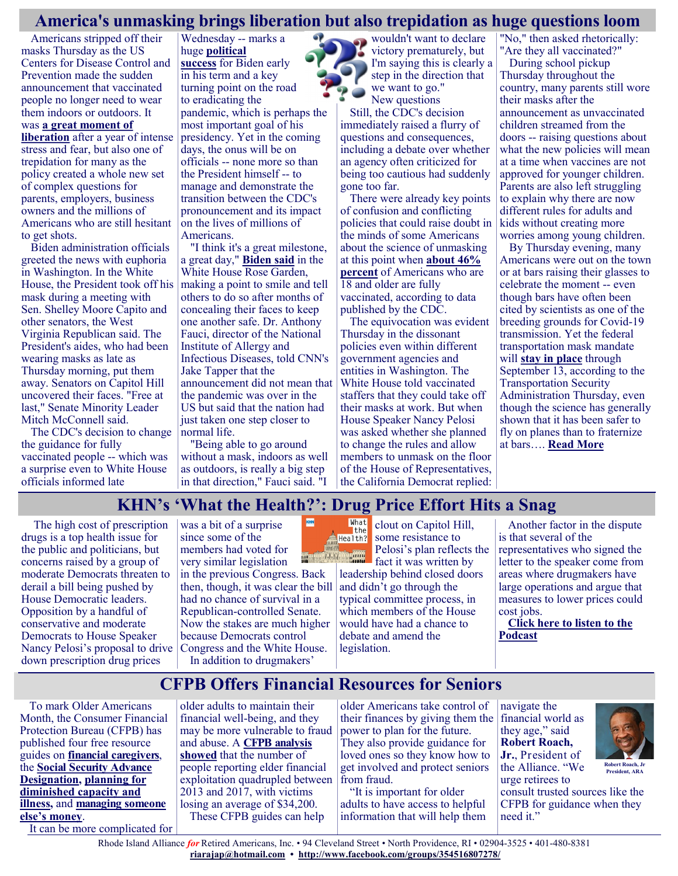#### **America's unmasking brings liberation but also trepidation as huge questions loom**

Americans stripped off their masks Thursday as the US Centers for Disease Control and Prevention made the sudden [announcement](https://www.cnn.com/2021/05/13/health/us-coronavirus-thursday/index.html) that vaccinated people no longer need to wear them indoors or outdoors. It was **[a great moment of](https://www.cnn.com/2021/05/13/politics/joe-biden-cdc-mask-guidance/index.html)** 

**[liberation](https://www.cnn.com/2021/05/13/politics/joe-biden-cdc-mask-guidance/index.html)** after a year of intense stress and fear, but also one of trepidation for many as the policy created a whole new set of complex questions for parents, employers, business owners and the millions of Americans who are still hesitant to get shots.

Biden administration officials greeted the news with euphoria in Washington. In the White House, the President took off his mask during a meeting with Sen. Shelley Moore Capito and other senators, the West Virginia Republican said. The President's aides, who had been wearing masks as late as Thursday morning, put them away. Senators on Capitol Hill uncovered their faces. "Free at last," Senate Minority Leader Mitch McConnell said.

The CDC's decision to change the guidance for fully vaccinated people -- which was a surprise even to White House officials informed late

Wednesday -- marks a huge **[political](https://www.cnn.com/2021/05/13/politics/what-matters-vaccinated-americans/index.html)  [success](https://www.cnn.com/2021/05/13/politics/what-matters-vaccinated-americans/index.html)** for Biden early in his term and a key turning point on the road to eradicating the pandemic, which is perhaps the most important goal of his presidency. Yet in the coming days, the onus will be on officials -- none more so than the President himself -- to manage and demonstrate the transition between the CDC's pronouncement and its impact on the lives of millions of Americans.

"I think it's a great milestone, a great day," **[Biden said](https://www.cnn.com/2021/05/13/politics/joe-biden-cdc-mask-guidance/index.html)** in the White House Rose Garden, making a point to smile and tell others to do so after months of concealing their faces to keep one another safe. Dr. Anthony Fauci, director of the National Institute of Allergy and Infectious Diseases, told CNN's Jake Tapper that the announcement did not mean that the pandemic was over in the US but said that the nation had just taken one step closer to normal life.

"Being able to go around without a mask, indoors as well as outdoors, is really a big step in that direction," Fauci said. "I

wouldn't want to declare victory prematurely, but I'm saying this is clearly a step in the direction that we want to go." New questions

Still, the CDC's decision immediately raised a flurry of questions and consequences, including a debate over whether an agency often criticized for being too cautious had suddenly gone too far.

There were already key points of confusion and conflicting policies that could raise doubt in the minds of some Americans about the science of unmasking at this point when **[about 46%](https://covid.cdc.gov/covid-data-tracker/#vaccinations)  [percent](https://covid.cdc.gov/covid-data-tracker/#vaccinations)** of Americans who are 18 and older are fully vaccinated, according to data published by the CDC.

The equivocation was evident Thursday in the dissonant policies even within different government agencies and entities in Washington. The White House told vaccinated staffers that they could take off their masks at work. But when House Speaker Nancy Pelosi was asked whether she planned to change the rules and allow members to unmask on the floor of the House of Representatives, the California Democrat replied:

"No," then asked rhetorically: "Are they all vaccinated?" During school pickup Thursday throughout the country, many parents still wore their masks after the announcement as unvaccinated children streamed from the doors -- raising questions about what the new policies will mean at a time when vaccines are not approved for younger children. Parents are also left struggling to explain why there are now different rules for adults and kids without creating more worries among young children.

By Thursday evening, many Americans were out on the town or at bars raising their glasses to celebrate the moment -- even though bars have often been cited by scientists as one of the breeding grounds for Covid-19 transmission. Yet the federal transportation mask mandate will **[stay in place](https://www.cnn.com/world/live-news/coronavirus-pandemic-vaccine-updates-05-13-21/h_334312f31ddb861dcf4f1dcbcd439b5b)** through September 13, according to the Transportation Security Administration Thursday, even though the science has generally shown that it has been safer to fly on planes than to fraternize at bars…. **[Read More](https://www.cnn.com/2021/05/14/politics/joe-biden-cdc-mask-guidance/index.html)**

#### **KHN's 'What the Health?': Drug Price Effort Hits a Snag**

The high cost of prescription drugs is a top health issue for the public and politicians, but concerns raised by a group of moderate Democrats threaten to derail a bill being pushed by House Democratic leaders. Opposition by a handful of conservative and moderate Democrats to House Speaker Nancy Pelosi's proposal to drive down prescription drug prices

was a bit of a surprise since some of the members had voted for very similar legislation in the previous Congress. Back then, though, it was clear the bill had no chance of survival in a Republican-controlled Senate. Now the stakes are much higher because Democrats control Congress and the White House. In addition to drugmakers'



clout on Capitol Hill, some resistance to Pelosi's plan reflects the fact it was written by

leadership behind closed doors and didn't go through the typical committee process, in which members of the House would have had a chance to debate and amend the legislation.

Another factor in the dispute is that several of the representatives who signed the letter to the speaker come from areas where drugmakers have large operations and argue that measures to lower prices could cost jobs.

**[Click here to listen to the](https://soundcloud.com/user-719970294/drug-price-effort-hits-a-snag)  [Podcast](https://soundcloud.com/user-719970294/drug-price-effort-hits-a-snag)**

# **CFPB Offers Financial Resources for Seniors**

To mark Older Americans Month, the Consumer Financial Protection Bureau (CFPB) has published four free resource guides on **[financial caregivers](https://u1584542.ct.sendgrid.net/ss/c/nIATlT34azO8Uq6tATWtxHEAK59rQ6nRK8XY2YsxkjMvHtCRr5zd7LKwt1yhQs8hA8WeYTlUrv5mU9VeUCDlnFAZANl-jfbfewKJw4fN-9In6VTKAUveYOnuQ5H6c7ljJYyRules_UB_ezV_aIU9xl1riUDumr3HjthJz1EpZpesB9FN4_2-KcImTj2VqL7-m37aNrjST43DAjrl65chdWxyP1XM2)**, the **[Social Security Advance](https://u1584542.ct.sendgrid.net/ss/c/nIATlT34azO8Uq6tATWtxHEAK59rQ6nRK8XY2YsxkjMvHtCRr5zd7LKwt1yhQs8hA8WeYTlUrv5mU9VeUCDlnMso8GOxtnowkJNo0CeN2-KHV1-TH2_zHmtzov21UVBR727U5wXrNnKXTw9rUZ5k7_61zptm2oicS1CKG5ESyvZ2TraX5EKdI8HLE1Qh8wIa5pgSNwr1yrENyXp_2RXNgvS9fzz1G)  [Designation,](https://u1584542.ct.sendgrid.net/ss/c/nIATlT34azO8Uq6tATWtxHEAK59rQ6nRK8XY2YsxkjMvHtCRr5zd7LKwt1yhQs8hA8WeYTlUrv5mU9VeUCDlnMso8GOxtnowkJNo0CeN2-KHV1-TH2_zHmtzov21UVBR727U5wXrNnKXTw9rUZ5k7_61zptm2oicS1CKG5ESyvZ2TraX5EKdI8HLE1Qh8wIa5pgSNwr1yrENyXp_2RXNgvS9fzz1G) [planning for](https://u1584542.ct.sendgrid.net/ss/c/nIATlT34azO8Uq6tATWtxHEAK59rQ6nRK8XY2YsxkjMvHtCRr5zd7LKwt1yhQs8hA8WeYTlUrv5mU9VeUCDlnPj0Gbhuit0y9b_Mo6A3qpN62Yw6mkrGjEVN05Cj8A0Of-TNVyIweHfcdKqj8vkP_THC2AEiQED99Vyr_yuaR1lySBI1dy-F-AAtQQ6KKaESR2zdyl_evZiQM4nqjDBt-2VniSY8B)  [diminished capacity and](https://u1584542.ct.sendgrid.net/ss/c/nIATlT34azO8Uq6tATWtxHEAK59rQ6nRK8XY2YsxkjMvHtCRr5zd7LKwt1yhQs8hA8WeYTlUrv5mU9VeUCDlnPj0Gbhuit0y9b_Mo6A3qpN62Yw6mkrGjEVN05Cj8A0Of-TNVyIweHfcdKqj8vkP_THC2AEiQED99Vyr_yuaR1lySBI1dy-F-AAtQQ6KKaESR2zdyl_evZiQM4nqjDBt-2VniSY8B)  illness,** and **[managing someone](https://u1584542.ct.sendgrid.net/ss/c/nIATlT34azO8Uq6tATWtxHEAK59rQ6nRK8XY2YsxkjMvHtCRr5zd7LKwt1yhQs8hA8WeYTlUrv5mU9VeUCDlnDDDk8nVtmpc28wBLTrGI1Zfgj_8au_2IeELdA5d8Nw_N1CvWiVG-0qcAr2dxvmj81InQmOXnXz0T-g7NbUUoRgGXXgHyewKopJaTxryjdQ28fed6xBPa1gOtgVBlQii2IqVunNqS)  [else's money](https://u1584542.ct.sendgrid.net/ss/c/nIATlT34azO8Uq6tATWtxHEAK59rQ6nRK8XY2YsxkjMvHtCRr5zd7LKwt1yhQs8hA8WeYTlUrv5mU9VeUCDlnDDDk8nVtmpc28wBLTrGI1Zfgj_8au_2IeELdA5d8Nw_N1CvWiVG-0qcAr2dxvmj81InQmOXnXz0T-g7NbUUoRgGXXgHyewKopJaTxryjdQ28fed6xBPa1gOtgVBlQii2IqVunNqS)**.

It can be more complicated for

older adults to maintain their financial well-being, and they may be more vulnerable to fraud and abuse. A **[CFPB analysis](https://u1584542.ct.sendgrid.net/ss/c/wehEm_vu1NBVXOKYSqOxTDKXlnwsMKtn6KdpXp1qE5eLFPTn_bk5fbVzW8BEIXyggjJjXghsoNB_zw0j11DpEb2wUyfGs91WA_KMPEou8uYp7JJ2rPK7rZEBd__DFYNSDlCAaas35Mfj4nf29nGWWlT8MNTxD7Q3KbCtlXH865IKLnhpwlVyOooKxLNdVL1hs3-e3FTPpd_T09ktbJckZTmkomz9D)  [showed](https://u1584542.ct.sendgrid.net/ss/c/wehEm_vu1NBVXOKYSqOxTDKXlnwsMKtn6KdpXp1qE5eLFPTn_bk5fbVzW8BEIXyggjJjXghsoNB_zw0j11DpEb2wUyfGs91WA_KMPEou8uYp7JJ2rPK7rZEBd__DFYNSDlCAaas35Mfj4nf29nGWWlT8MNTxD7Q3KbCtlXH865IKLnhpwlVyOooKxLNdVL1hs3-e3FTPpd_T09ktbJckZTmkomz9D)** that the number of people reporting elder financial exploitation quadrupled between 2013 and 2017, with victims losing an average of \$34,200. These CFPB guides can help

older Americans take control of their finances by giving them the financial world as power to plan for the future. They also provide guidance for loved ones so they know how to get involved and protect seniors from fraud.

"It is important for older adults to have access to helpful information that will help them navigate the they age," said **Robert Roach, Jr.**, President of the Alliance. "We urge retirees to



**President, ARA**

consult trusted sources like the CFPB for guidance when they need it."

Rhode Island Alliance *for* Retired Americans, Inc. • 94 Cleveland Street • North Providence, RI • 02904-3525 • 401-480-8381 **[riarajap@hotmail.com](mailto:riarajap@hotmail.com) • [http://www.facebook.com/groups/354516807278/](https://www.facebook.com/groups/354516807278/)**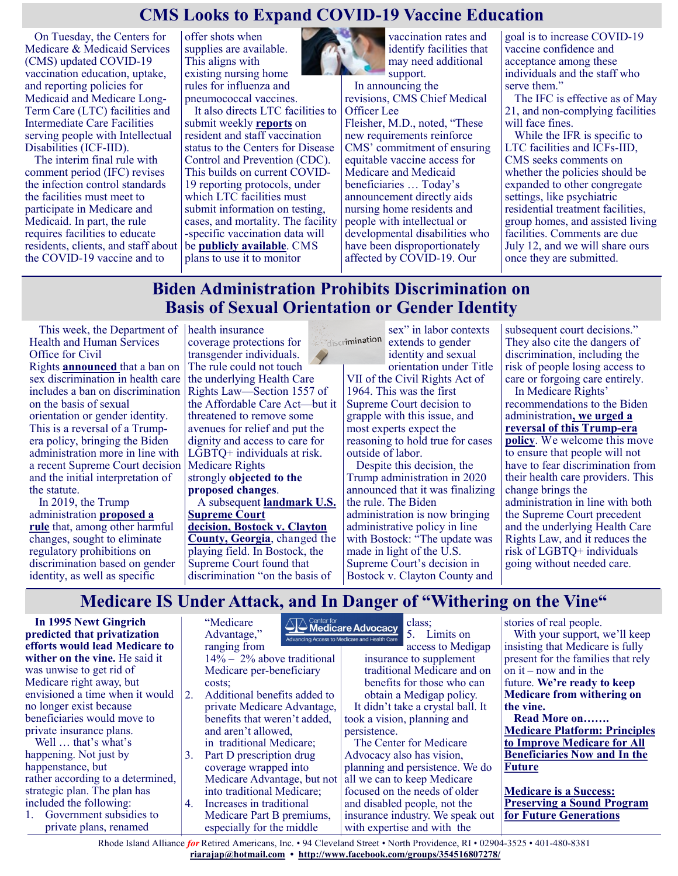# **CMS Looks to Expand COVID-19 Vaccine Education**

On Tuesday, the Centers for Medicare & Medicaid Services (CMS) updated COVID-19 vaccination education, uptake, and reporting policies for Medicaid and Medicare Long-Term Care (LTC) facilities and Intermediate Care Facilities serving people with Intellectual Disabilities (ICF-IID).

The interim final rule with comment period (IFC) revises the infection control standards the facilities must meet to participate in Medicare and Medicaid. In part, the rule requires facilities to educate residents, clients, and staff about the COVID-19 vaccine and to

offer shots when supplies are available. This aligns with existing nursing home rules for influenza and pneumococcal vaccines.

It also directs LTC facilities to submit weekly **[reports](https://www.cdc.gov/nhsn/index.html)** on resident and staff vaccination status to the Centers for Disease Control and Prevention (CDC). This builds on current COVID-19 reporting protocols, under which LTC facilities must submit information on testing, cases, and mortality. The facility -specific vaccination data will be **[publicly available](https://data.cms.gov/stories/s/COVID-19-Nursing-Home-Data/bkwz-xpvg/)**. CMS plans to use it to monitor



vaccination rates and identify facilities that may need additional support.

In announcing the revisions, CMS Chief Medical Officer Lee

Fleisher, M.D., noted, "These new requirements reinforce CMS' commitment of ensuring equitable vaccine access for Medicare and Medicaid beneficiaries … Today's announcement directly aids nursing home residents and people with intellectual or developmental disabilities who have been disproportionately affected by COVID-19. Our

goal is to increase COVID-19 vaccine confidence and acceptance among these individuals and the staff who serve them."

The IFC is effective as of May 21, and non-complying facilities will face fines.

While the IFR is specific to LTC facilities and ICFs-IID, CMS seeks comments on whether the policies should be expanded to other congregate settings, like psychiatric residential treatment facilities, group homes, and assisted living facilities. Comments are due July 12, and we will share ours once they are submitted.

# **Biden Administration Prohibits Discrimination on Basis of Sexual Orientation or Gender Identity**

This week, the Department of Health and Human Services Office for Civil Rights **[announced](https://www.hhs.gov/about/news/2021/05/10/hhs-announces-prohibition-sex-discrimination-includes-discrimination-basis-sexual-orientation-gender-identity.html)** that a ban on sex discrimination in health care includes a ban on discrimination on the basis of sexual orientation or gender identity. This is a reversal of a Trumpera policy, bringing the Biden administration more in line with a recent Supreme Court decision and the initial interpretation of the statute.

In 2019, the Trump administration **[proposed a](https://www.medicarerights.org/medicare-watch/2019/08/08/blog-trump-administration-proposes-aca-changes-that-would-weaken-nondiscrimination-protections)  [rule](https://www.medicarerights.org/medicare-watch/2019/08/08/blog-trump-administration-proposes-aca-changes-that-would-weaken-nondiscrimination-protections)** that, among other harmful changes, sought to eliminate regulatory prohibitions on discrimination based on gender identity, as well as specific

health insurance coverage protections for transgender individuals. The rule could not touch the underlying Health Care Rights Law—Section 1557 of the Affordable Care Act—but it threatened to remove some avenues for relief and put the dignity and access to care for LGBTQ+ individuals at risk. Medicare Rights strongly **[objected to the](https://www.medicarerights.org/policy-documents/comments-nondiscrimination-in-health-and-health-education-programs-or-activities)  [proposed changes](https://www.medicarerights.org/policy-documents/comments-nondiscrimination-in-health-and-health-education-programs-or-activities)**. A subsequent **[landmark U.S.](https://www.medicarerights.org/medicare-watch/2020/06/18/historic-supreme-court-decision-could-derail-trump-administrations-harmful-rule-removing-aca-protections-against-sex-discrimination)  [Supreme Court](https://www.medicarerights.org/medicare-watch/2020/06/18/historic-supreme-court-decision-could-derail-trump-administrations-harmful-rule-removing-aca-protections-against-sex-discrimination)  [decision,](https://www.medicarerights.org/medicare-watch/2020/06/18/historic-supreme-court-decision-could-derail-trump-administrations-harmful-rule-removing-aca-protections-against-sex-discrimination) [Bostock v. Clayton](https://www.supremecourt.gov/opinions/19pdf/17-1618_hfci.pdf)  [County, Georgia](https://www.supremecourt.gov/opinions/19pdf/17-1618_hfci.pdf)**, changed the playing field. In Bostock, the Supreme Court found that discrimination "on the basis of

sex" in labor contexts discrimination extends to gender identity and sexual

orientation under Title VII of the Civil Rights Act of 1964. This was the first Supreme Court decision to grapple with this issue, and most experts expect the reasoning to hold true for cases outside of labor.

Despite this decision, the Trump administration in 2020 announced that it was finalizing the rule. The Biden administration is now bringing administrative policy in line with Bostock: "The update was made in light of the U.S. Supreme Court's decision in Bostock v. Clayton County and

subsequent court decisions." They also cite the dangers of discrimination, including the risk of people losing access to care or forgoing care entirely. In Medicare Rights' recommendations to the Biden administration**, [we urged a](https://www.medicarerights.org/medicare-watch/2020/12/17/medicare-rights-provides-a-summary-of-policy-priorities-for-the-biden-harris-administration)  [reversal of this Trump](https://www.medicarerights.org/medicare-watch/2020/12/17/medicare-rights-provides-a-summary-of-policy-priorities-for-the-biden-harris-administration)-era [policy](https://www.medicarerights.org/medicare-watch/2020/12/17/medicare-rights-provides-a-summary-of-policy-priorities-for-the-biden-harris-administration)**. We welcome this move to ensure that people will not have to fear discrimination from their health care providers. This change brings the administration in line with both the Supreme Court precedent and the underlying Health Care Rights Law, and it reduces the risk of LGBTQ+ individuals going without needed care.

# **Medicare IS Under Attack, and In Danger of "Withering on the Vine"**

**In 1995 Newt Gingrich predicted that privatization efforts would lead Medicare to wither on the vine.** He said it was unwise to get rid of Medicare right away, but envisioned a time when it would no longer exist because beneficiaries would move to private insurance plans.

Well … that's what's happening. Not just by happenstance, but rather according to a determined, strategic plan. The plan has included the following:

1. Government subsidies to private plans, renamed

"Medicare Advantage," ranging from 14% – 2% above traditional Medicare per-beneficiary costs; 2. Additional benefits added to private Medicare Advantage, benefits that weren't added,

- and aren't allowed, in traditional Medicare; 3. Part D prescription drug coverage wrapped into
- Medicare Advantage, but not into traditional Medicare; 4. Increases in traditional
- Medicare Part B premiums, especially for the middle

**A Center for**<br>**A Medicare Advocacy** class;

5. Limits on Advancing Access to Medicare and Health Care access to Medigap insurance to supplement traditional Medicare and on benefits for those who can obtain a Medigap policy.

It didn't take a crystal ball. It took a vision, planning and persistence.

The Center for Medicare Advocacy also has vision, planning and persistence. We do all we can to keep Medicare focused on the needs of older and disabled people, not the insurance industry. We speak out with expertise and with the

stories of real people. With your support, we'll keep insisting that Medicare is fully present for the families that rely on it – now and in the future. **We're ready to keep Medicare from withering on the vine.**

**Read More on……. [Medicare Platform: Principles](https://medicareadvocacy.org/medicare-info/medicare-and-health-care-reform/#medicare-platform-principles-to-improve-medicare-for-all-beneficiaries-now-and-in-the-future)  [to Improve Medicare for All](https://medicareadvocacy.org/medicare-info/medicare-and-health-care-reform/#medicare-platform-principles-to-improve-medicare-for-all-beneficiaries-now-and-in-the-future)  [Beneficiaries Now and In the](https://medicareadvocacy.org/medicare-info/medicare-and-health-care-reform/#medicare-platform-principles-to-improve-medicare-for-all-beneficiaries-now-and-in-the-future)  [Future](https://medicareadvocacy.org/medicare-info/medicare-and-health-care-reform/#medicare-platform-principles-to-improve-medicare-for-all-beneficiaries-now-and-in-the-future)**

**[Medicare is a Success:](https://medicareadvocacy.org/medicare-info/medicare-and-health-care-reform/#medicare-platform-principles-to-improve-medicare-for-all-beneficiaries-now-and-in-the-future)  [Preserving a Sound Program](https://medicareadvocacy.org/medicare-info/medicare-and-health-care-reform/#medicare-platform-principles-to-improve-medicare-for-all-beneficiaries-now-and-in-the-future)  [for Future Generations](https://medicareadvocacy.org/medicare-info/medicare-and-health-care-reform/#medicare-platform-principles-to-improve-medicare-for-all-beneficiaries-now-and-in-the-future)**

Rhode Island Alliance *for* Retired Americans, Inc. • 94 Cleveland Street • North Providence, RI • 02904-3525 • 401-480-8381 **[riarajap@hotmail.com](mailto:riarajap@hotmail.com) • [http://www.facebook.com/groups/354516807278/](https://www.facebook.com/groups/354516807278/)**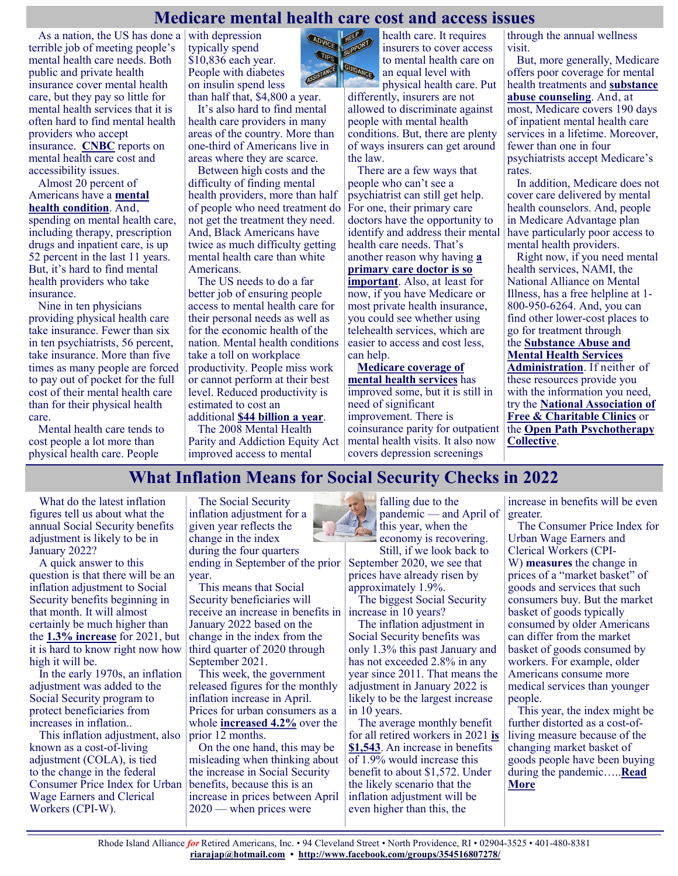#### **Medicare mental health care cost and access issues**

ADVICE

**Les** 

HELP

**HELL**ORD

As a nation, the US has done a terrible job of meeting people's mental health care needs. Both public and private health insurance cover mental health care, but they pay so little for mental health services that it is often hard to find mental health providers who accept insurance. **[CNBC](https://www.cnbc.com/2021/05/10/cost-and-accessibility-of-mental-health-care-in-america.html)** reports on mental health care cost and accessibility issues.

Almost 20 percent of Americans have a **[mental](https://www.nami.org/mhstats)  [health condition](https://www.nami.org/mhstats)**. And, spending on mental health care, including therapy, prescription drugs and inpatient care, is up 52 percent in the last 11 years. But, it's hard to find mental health providers who take insurance.

Nine in ten physicians providing physical health care take insurance. Fewer than six in ten psychiatrists, 56 percent, take insurance. More than five times as many people are forced to pay out of pocket for the full cost of their mental health care than for their physical health care.

Mental health care tends to cost people a lot more than physical health care. People

with depression typically spend \$10,836 each year. People with diabetes on insulin spend less

than half that, \$4,800 a year. It's also hard to find mental health care providers in many areas of the country. More than one-third of Americans live in areas where they are scarce.

Between high costs and the difficulty of finding mental health providers, more than half of people who need treatment do not get the treatment they need. And, Black Americans have twice as much difficulty getting mental health care than white Americans.

The US needs to do a far better job of ensuring people access to mental health care for their personal needs as well as for the economic health of the nation. Mental health conditions take a toll on workplace productivity. People miss work or cannot perform at their best level. Reduced productivity is estimated to cost an

The 2008 Mental Health improved access to mental

health care. It requires insurers to cover access to mental health care on an equal level with physical health care. Put

differently, insurers are not allowed to discriminate against people with mental health conditions. But, there are plenty of ways insurers can get around the law.

There are a few ways that people who can't see a psychiatrist can still get help. For one, their primary care doctors have the opportunity to identify and address their mental health care needs. That's another reason why having **[a](https://justcareusa.org/every-american-needs-a-primary-care-doctor/)  [primary care doctor is so](https://justcareusa.org/every-american-needs-a-primary-care-doctor/)  [important](https://justcareusa.org/every-american-needs-a-primary-care-doctor/)**. Also, at least for now, if you have Medicare or most private health insurance, you could see whether using telehealth services, which are easier to access and cost less, can help.

**[Medicare coverage of](https://www.commonwealthfund.org/publications/issue-briefs/2020/jul/medicare-mental-health-coverage-covid-19-gaps-opportunities)  [mental health services](https://www.commonwealthfund.org/publications/issue-briefs/2020/jul/medicare-mental-health-coverage-covid-19-gaps-opportunities)** has improved some, but it is still in need of significant improvement. There is coinsurance parity for outpatient mental health visits. It also now covers depression screenings

through the annual wellness visit.

But, more generally, Medicare offers poor coverage for mental health treatments and **[substance](https://justcareusa.org/alcohol-abuse-among-older-adults-needs-addressing/)  [abuse counseling](https://justcareusa.org/alcohol-abuse-among-older-adults-needs-addressing/)**. And, at most, Medicare covers 190 days of inpatient mental health care services in a lifetime. Moreover, fewer than one in four psychiatrists accept Medicare's rates.

In addition, Medicare does not cover care delivered by mental health counselors. And, people in Medicare Advantage plan have particularly poor access to mental health providers.

Right now, if you need mental health services, NAMI, the National Alliance on Mental Illness, has a free helpline at 1- 800-950-6264. And, you can find other lower-cost places to go for treatment through

the **[Substance Abuse and](https://findtreatment.samhsa.gov/)  [Mental Health Services](https://findtreatment.samhsa.gov/)  [Administration](https://findtreatment.samhsa.gov/)**. If neither of these resources provide you with the information you need, try the **[National Association of](https://www.nafcclinics.org/find-clinic)  [Free & Charitable Clinics](https://www.nafcclinics.org/find-clinic)** or the **[Open Path Psychotherapy](https://openpathcollective.org/find-a-clinician/?address=&distance=50&n=&ethnicity=&active=undefined&remote=&age=&language=&modality=&specialties=&treatment=&pagination=0)  [Collective](https://openpathcollective.org/find-a-clinician/?address=&distance=50&n=&ethnicity=&active=undefined&remote=&age=&language=&modality=&specialties=&treatment=&pagination=0)**.

#### **What Inflation Means for Social Security Checks in 2022**

What do the latest inflation figures tell us about what the annual Social Security benefits adjustment is likely to be in January 2022?

A quick answer to this question is that there will be an inflation adjustment to Social Security benefits beginning in that month. It will almost certainly be much higher than the **[1.3% increase](https://www.moneytalksnews.com/2020-social-security-cola/)** for 2021, but it is hard to know right now how high it will be.

In the early 1970s, an inflation adjustment was added to the Social Security program to protect beneficiaries from increases in inflation.[.](https://www.moneytalksnews.com/?utm_source=msn&utm_medium=feed&utm_campaign=msn-newsletter-signup#newsletter)

This inflation adjustment, also known as a cost-of-living adjustment (COLA), is tied [to](https://www.ssa.gov/cola/) the change in the federal Consumer Price Index for Urban Wage Earners and Clerical Workers (CPI-W).

The Social Security inflation adjustment for a given year reflects the change in the index during the four quarters ending in September of the prior year.

This means that Social Security beneficiaries will receive an increase in benefits in January 2022 based on the change in the index from the third quarter of 2020 through September 2021.

This week, the government released figures for the monthly inflation increase in April. Prices for urban consumers as a whole **[increased 4.2%](https://www.bls.gov/news.release/cpi.htm)** over the prior 12 months.

On the one hand, this may be misleading when thinking about the increase in Social Security benefits, because this is an increase in prices between April 2020 — when prices were



Still, if we look back to September 2020, we see that prices have already risen by approximately 1.9%.

The biggest Social Security increase in 10 years?

The inflation adjustment in Social Security benefits was only 1.3% this past January and has not exceeded 2.8% in any year since 2011. That means the adjustment in January 2022 is likely to be the largest increase in 10 years.

The average monthly benefit for all retired workers in 2021 **[is](https://www.ssa.gov/news/press/factsheets/colafacts2021.pdf)  [\\$1,543](https://www.ssa.gov/news/press/factsheets/colafacts2021.pdf)**. An increase in benefits of 1.9% would increase this benefit to about \$1,572. Under the likely scenario that the inflation adjustment will be even higher than this, the

increase in benefits will be even greater.

The Consumer Price Index for Urban Wage Earners and Clerical Workers (CPI-W) **[measures](https://www.bls.gov/cpi/questions-and-answers.htm)** the change in prices of a "market basket" of goods and services that such consumers buy. But the market basket of goods typically consumed by older Americans can differ from the market basket of goods consumed by workers. For example, older Americans consume more medical services than younger people.

This year, the index might be further distorted as a cost-ofliving measure because of the changing market basket of goods people have been buying during the pandemic…..**[Read](https://www.msn.com/en-us/money/retirement/what-inflation-means-for-social-security-checks-in-2022/ar-BB1gIUFy?ocid=SK2DDHP)  [More](https://www.msn.com/en-us/money/retirement/what-inflation-means-for-social-security-checks-in-2022/ar-BB1gIUFy?ocid=SK2DDHP)**

additional **[\\$44 billion a year](https://secureservercdn.net/198.71.233.214/e47.77e.myftpupload.com/wp-content/uploads/2020/09/OMaW_Tufts-Study_High-Cost-of-Mental-Disorders-1.pdf)**.

Parity and Addiction Equity Act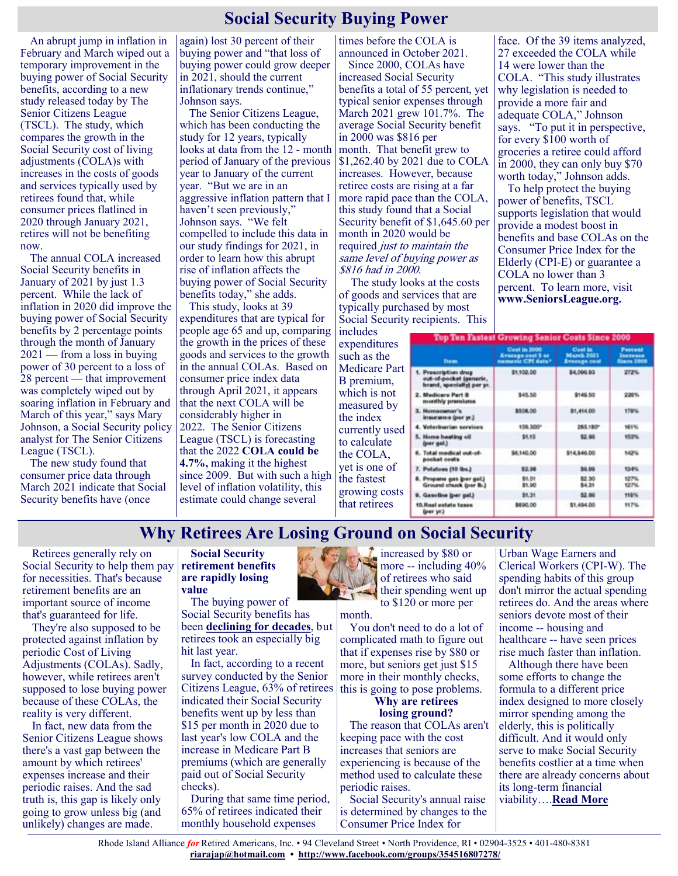### **Social Security Buying Power**

An abrupt jump in inflation in February and March wiped out a temporary improvement in the buying power of Social Security benefits, according to a new study released today by The Senior Citizens League (TSCL). The study, which compares the growth in the Social Security cost of living adjustments (COLA)s with increases in the costs of goods and services typically used by retirees found that, while consumer prices flatlined in 2020 through January 2021, retires will not be benefiting now.

The annual COLA increased Social Security benefits in January of 2021 by just 1.3 percent. While the lack of inflation in 2020 did improve the buying power of Social Security benefits by 2 percentage points through the month of January  $2021$  — from a loss in buying power of 30 percent to a loss of 28 percent — that improvement was completely wiped out by soaring inflation in February and March of this year," says Mary Johnson, a Social Security policy analyst for The Senior Citizens League (TSCL).

The new study found that consumer price data through March 2021 indicate that Social Security benefits have (once

again) lost 30 percent of their buying power and "that loss of buying power could grow deeper in 2021, should the current inflationary trends continue," Johnson says.

The Senior Citizens League, which has been conducting the study for 12 years, typically looks at data from the 12 - month month. That benefit grew to period of January of the previous year to January of the current year. "But we are in an aggressive inflation pattern that I haven't seen previously," Johnson says. "We felt compelled to include this data in our study findings for 2021, in order to learn how this abrupt rise of inflation affects the buying power of Social Security benefits today," she adds.

This study, looks at 39 expenditures that are typical for people age 65 and up, comparing the growth in the prices of these goods and services to the growth in the annual COLAs. Based on consumer price index data through April 2021, it appears that the next COLA will be considerably higher in 2022. The Senior Citizens League (TSCL) is forecasting that the 2022 **COLA could be 4.7%,** making it the highest since 2009. But with such a high level of inflation volatility, this estimate could change several

times before the COLA is announced in October 2021.

Since 2000, COLAs have increased Social Security benefits a total of 55 percent, yet typical senior expenses through March 2021 grew 101.7%. The average Social Security benefit in 2000 was \$816 per \$1,262.40 by 2021 due to COLA increases. However, because retiree costs are rising at a far more rapid pace than the COLA, this study found that a Social Security benefit of \$1,645.60 per month in 2020 would be required just to maintain the same level of buying power as \$816 had in 2000.

The study looks at the costs of goods and services that are typically purchased by most Social Security recipients. This includes

face. Of the 39 items analyzed, 27 exceeded the COLA while 14 were lower than the COLA. "This study illustrates why legislation is needed to provide a more fair and adequate COLA," Johnson says. "To put it in perspective, for every \$100 worth of groceries a retiree could afford in 2000, they can only buy \$70 worth today," Johnson adds.

To help protect the buying power of benefits, TSCL supports legislation that would provide a modest boost in benefits and base COLAs on the Consumer Price Index for the Elderly (CPI-E) or guarantee a COLA no lower than 3 percent. To learn more, visit **www.SeniorsLeague.org.**

**Top Ten Fastest Growing Senior Costs Since 2000** 

| expenditures<br>such as the | <u>tah ten tesiasi Atawind seniat Aggis since caan</u>                       |                                                                |                                                     |                                          |
|-----------------------------|------------------------------------------------------------------------------|----------------------------------------------------------------|-----------------------------------------------------|------------------------------------------|
|                             | <b>Thems</b>                                                                 | Ceat in 2000<br><b>Avenues</b> cost \$ or<br>numeric CPI data? | Cost in<br><b>March 2021</b><br><b>Average coat</b> | Pascent<br>Increase<br><b>Stace 2000</b> |
| Medicare Part<br>B premium, | 1. Prescription drug<br>out-of-pocket (generic,<br>brand, specialty) par yr. | \$1,102.00                                                     | \$4,096.93                                          | 272%                                     |
| which is not<br>measured by | 2. Medicare Part B<br>monthly premiums                                       | \$45.50                                                        | \$148.50                                            | 220%                                     |
| the index<br>currently used | 3. Hornsowner's<br>insurance (per yr.)                                       | \$500.00                                                       | \$1,454.00                                          | 179%                                     |
|                             | Veterinarian services                                                        | 109.300*                                                       | 285.180*                                            | 161%                                     |
| to calculate                | 5. Home heating oil<br>(per gal.)                                            | \$1.15                                                         | \$2.95                                              | 150%                                     |
| the COLA,                   | Total modical out-of-<br>pocket costs                                        | \$6,140.00                                                     | \$14,846.00                                         | 142%                                     |
| yet is one of               | 7. Putatoes (10 lbs.)                                                        | 82.98                                                          | \$6.98                                              | 134%                                     |
| the fastest                 | 8. Propane gas (per gal.)<br>Ground chuck (per lb.)                          | \$1.01<br>\$1.90                                               | \$2.30<br>\$4.31                                    | 127%<br>127%                             |
| growing costs               | 9. Gasoline (per gal.)                                                       | \$1.31                                                         | \$2.00                                              | 118%                                     |
| that retirees               | 10.Rost estate taxes<br>(per ye.)                                            | \$690.00                                                       | \$1,494.00                                          | 117%                                     |

#### **Why Retirees Are Losing Ground on Social Security**

Retirees generally rely on Social Security to help them pay for necessities. That's because retirement benefits are an important source of income that's guaranteed for life.

They're also supposed to be protected against inflation by periodic Cost of Living Adjustments (COLAs). Sadly, however, while retirees aren't supposed to lose buying power because of these COLAs, the reality is very different.

In fact, new data from the Senior Citizens League shows there's a vast gap between the amount by which retirees' expenses increase and their periodic raises. And the sad truth is, this gap is likely only going to grow unless big (and unlikely) changes are made.

#### **Social Security retirement benefits are rapidly losing value**

The buying power of Social Security benefits has been **[declining for decades](https://www.fool.com/retirement/2020/07/15/social-security-benefits-have-lost-30-of-their-val.aspx?utm_source=msnrss&utm_medium=feed&utm_campaign=article&referring_guid=275959c2-5759-4c24-ba13-fc276847f5a3)**, but retirees took an especially big hit last year.

In fact, according to a recent survey conducted by the Senior Citizens League, 63% of retirees indicated their Social Security benefits went up by less than \$15 per month in 2020 due to last year's low COLA and the increase in Medicare Part B premiums (which are generally paid out of Social Security checks).

During that same time period, 65% of retirees indicated their monthly household expenses



increased by \$80 or<br>more -- including 40 more -- including 40% of retirees who said their spending went up to \$120 or more per month.

You don't need to do a lot of complicated math to figure out that if expenses rise by \$80 or more, but seniors get just \$15 more in their monthly checks, this is going to pose problems.

#### **Why are retirees losing ground?**

The reason that COLAs aren't keeping pace with the cost increases that seniors are experiencing is because of the method used to calculate these periodic raises.

Social Security's annual raise is determined by changes to the Consumer Price Index for

Urban Wage Earners and Clerical Workers (CPI-W). The spending habits of this group don't mirror the actual spending retirees do. And the areas where seniors devote most of their income -- housing and healthcare -- have seen prices rise much faster than inflation.

Although there have been some efforts to change the formula to a different price index designed to more closely mirror spending among the elderly, this is politically difficult. And it would only serve to make Social Security benefits costlier at a time when there are already concerns about its long-term financial viability….**[Read More](https://www.msn.com/en-us/money/retirement/why-retirees-are-losing-ground-on-social-security/ar-BB1gGUvH?ocid=SK2DDHP)**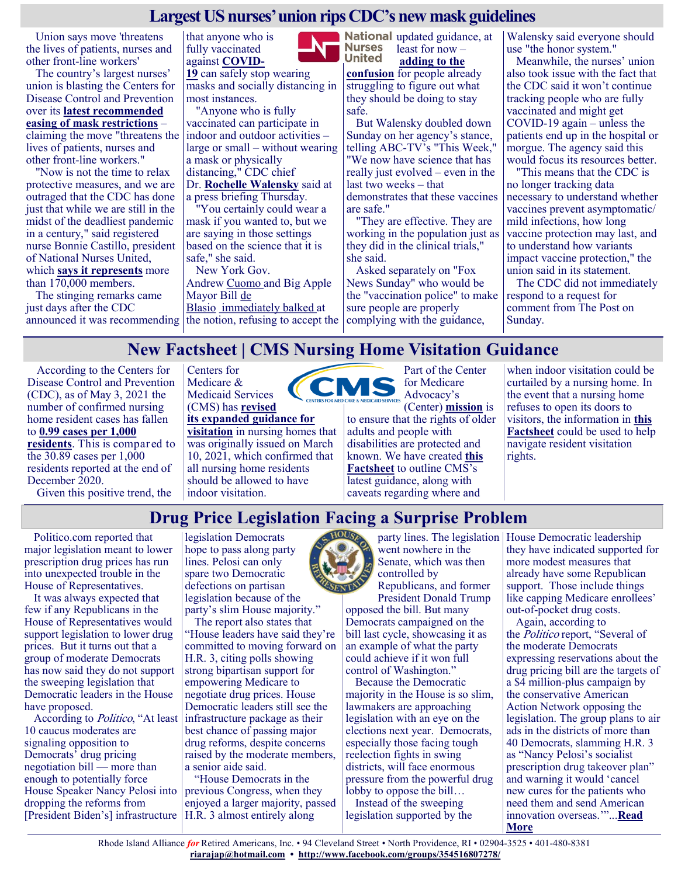#### **Largest US nurses' union rips CDC's new mask guidelines**

Union says move 'threatens the lives of patients, nurses and other front-line workers'

The country's largest nurses' union is blasting the Centers for Disease Control and Prevention over its **[latest recommended](https://nypost.com/2021/05/13/cdc-to-tell-vaccinated-americans-they-can-ditch-masks-indoors/)  [easing of mask restrictions](https://nypost.com/2021/05/13/cdc-to-tell-vaccinated-americans-they-can-ditch-masks-indoors/)** –

claiming the move "threatens the lives of patients, nurses and other front-line workers."

"Now is not the time to relax protective measures, and we are outraged that the CDC has done just that while we are still in the midst of the deadliest pandemic in a century," said registered nurse Bonnie Castillo, president of National Nurses United, which **[says it represents](https://www.nationalnursesunited.org/about)** more than 170,000 members.

The stinging remarks came just days after the CDC



**[19](https://www.foxnews.com/category/health/infectious-disease/coronavirus)** can safely stop wearing masks and socially distancing in most instances.

"Anyone who is fully vaccinated can participate in indoor and outdoor activities – large or small – without wearing a mask or physically distancing," CDC chief Dr. **[Rochelle Walensky](https://www.foxnews.com/category/person/rochelle-walensky)** said at a press briefing Thursday.

"You certainly could wear a mask if you wanted to, but we are saying in those settings based on the science that it is safe," she said.

announced it was recommending the notion, refusing to accept the complying with the guidance, New York Gov. Andrew [Cuomo](https://www.foxnews.com/category/person/andrew-cuomo) and Big Apple Mayor Bill [de](https://www.foxnews.com/category/person/bill-de-blasio)  [Blasio](https://www.foxnews.com/category/person/bill-de-blasio) [immediately balked](https://nypost.com/2021/05/13/gov-cuomo-says-ny-isnt-ready-to-follow-federal-advice-on-going-maskless/) at

National updated guidance, at **Nurses** least for now – **United [adding to the](https://nypost.com/2021/05/14/cuomo-de-blasios-refusal-to-adopt-new-cdc-mask-guidance-sparks-confusion/)  [confusion](https://nypost.com/2021/05/14/cuomo-de-blasios-refusal-to-adopt-new-cdc-mask-guidance-sparks-confusion/)** for people already

struggling to figure out what they should be doing to stay safe.

But Walensky doubled down Sunday on her agency's stance, telling ABC-TV's "This Week," "We now have science that has really just evolved – even in the last two weeks – that demonstrates that these vaccines are safe."

"They are effective. They are working in the population just as they did in the clinical trials," she said.

Asked separately on "Fox News Sunday" who would be the "vaccination police" to make sure people are properly

Walensky said everyone should use "the honor system."

Meanwhile, the nurses' union also took issue with the fact that the CDC said it won't continue tracking people who are fully vaccinated and might get COVID-19 again – unless the patients end up in the hospital or morgue. The agency said this would focus its resources better.

"This means that the CDC is no longer tracking data necessary to understand whether vaccines prevent asymptomatic/ mild infections, how long vaccine protection may last, and to understand how variants impact vaccine protection," the union said in its statement.

The CDC did not immediately respond to a request for comment from The Post on Sunday.

# **New Factsheet | CMS Nursing Home Visitation Guidance**

According to the Centers for Disease Control and Prevention (CDC), as of May 3, 2021 the number of confirmed nursing home resident cases has fallen to **[0.99 cases per 1,000](https://www.cdc.gov/nhsn/covid19/ltc-report-overview.html)  [residents](https://www.cdc.gov/nhsn/covid19/ltc-report-overview.html)**. This is compared to the 30.89 cases per 1,000 residents reported at the end of December 2020.

Given this positive trend, the

Centers for Medicare & Medicaid Services (CMS) has **[revised](https://www.cms.gov/files/document/qso-20-39-nh-revised.pdf)  [its expanded guidance for](https://www.cms.gov/files/document/qso-20-39-nh-revised.pdf)  [visitation](https://www.cms.gov/files/document/qso-20-39-nh-revised.pdf)** in nursing homes that was originally issued on March

10, 2021, which confirmed that all nursing home residents should be allowed to have indoor visitation.

Part of the Center for Medicare Advocacy's

(Center) **[mission](https://medicareadvocacy.org/about/)** is to ensure that the rights of older adults and people with disabilities are protected and known. We have created **[this](https://medicareadvocacy.org/wp-content/uploads/2021/05/SNF-Visitation-Fact-Sheet-5-2021.pdf)  [Factsheet](https://medicareadvocacy.org/wp-content/uploads/2021/05/SNF-Visitation-Fact-Sheet-5-2021.pdf)** to outline CMS's latest guidance, along with caveats regarding where and

when indoor visitation could be curtailed by a nursing home. In the event that a nursing home refuses to open its doors to visitors, the information in **[this](https://medicareadvocacy.org/wp-content/uploads/2021/05/SNF-Visitation-Fact-Sheet-5-2021.pdf)  [Factsheet](https://medicareadvocacy.org/wp-content/uploads/2021/05/SNF-Visitation-Fact-Sheet-5-2021.pdf)** could be used to help navigate resident visitation rights.

# **Drug Price Legislation Facing a Surprise Problem**

Politico.com reported that major legislation meant to lower prescription drug prices has run into unexpected trouble in the House of Representatives.

It was always expected that few if any Republicans in the House of Representatives would support legislation to lower drug prices. But it turns out that a group of moderate Democrats has now said they do not support the sweeping legislation that Democratic leaders in the House have proposed.

According to *Politico*, "At least 10 caucus moderates are signaling opposition to Democrats' drug pricing negotiation bill — more than enough to potentially force House Speaker Nancy Pelosi into dropping the reforms from [President Biden's] infrastructure H.R. 3 almost entirely along

legislation Democrats hope to pass along party lines. Pelosi can only spare two Democratic defections on partisan legislation because of the party's slim House majority."

The report also states that "House leaders have said they're committed to moving forward on H.R. 3, citing polls showing strong bipartisan support for empowering Medicare to negotiate drug prices. House Democratic leaders still see the infrastructure package as their best chance of passing major drug reforms, despite concerns raised by the moderate members, a senior aide said.

"House Democrats in the previous Congress, when they enjoyed a larger majority, passed



went nowhere in the Senate, which was then controlled by

Republicans, and former President Donald Trump

opposed the bill. But many Democrats campaigned on the bill last cycle, showcasing it as an example of what the party could achieve if it won full control of Washington."

Because the Democratic majority in the House is so slim, lawmakers are approaching legislation with an eye on the elections next year. Democrats, especially those facing tough reelection fights in swing districts, will face enormous pressure from the powerful drug lobby to oppose the bill… Instead of the sweeping

legislation supported by the

party lines. The legislation House Democratic leadership they have indicated supported for more modest measures that already have some Republican support. Those include things like capping Medicare enrollees' out-of-pocket drug costs.

Again, according to the Politico report, "Several of the moderate Democrats expressing reservations about the drug pricing bill are the targets of a \$4 million-plus campaign by the conservative American Action Network opposing the legislation. The group plans to air ads in the districts of more than 40 Democrats, slamming H.R. 3 as "Nancy Pelosi's socialist prescription drug takeover plan" and warning it would 'cancel new cures for the patients who need them and send American innovation overseas.'"...**[Read](https://seniorsleague.org/update-for-may-15-2021/)  [More](https://seniorsleague.org/update-for-may-15-2021/)**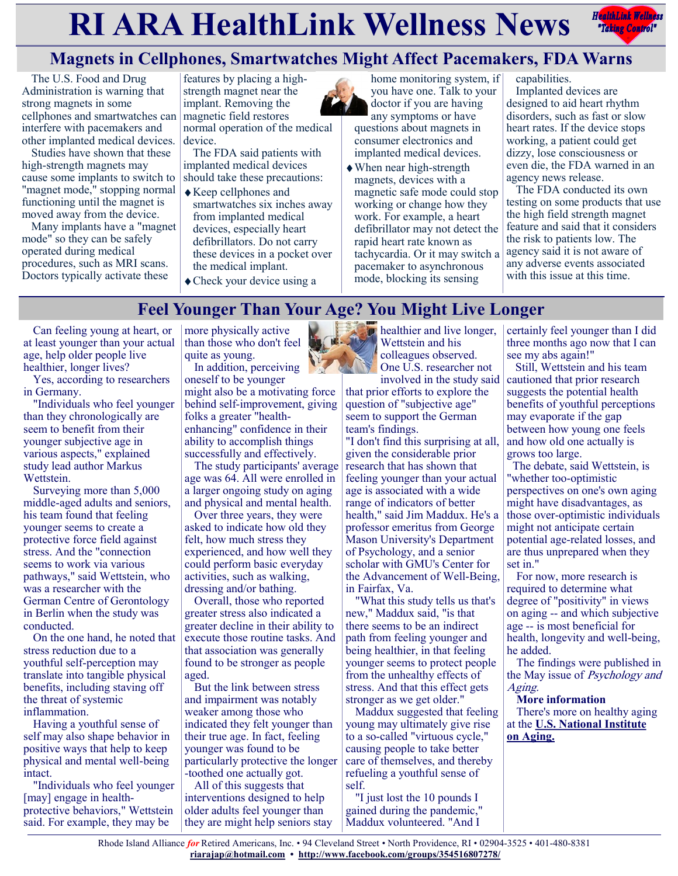# **RIARA HealthLink Wellness News** *Redige Controly*



# **Magnets in Cellphones, Smartwatches Might Affect Pacemakers, FDA Warns**

The U.S. Food and Drug Administration is warning that strong magnets in some cellphones and smartwatches can interfere with pacemakers and other implanted medical devices.

Studies have shown that these high-strength magnets may cause some implants to switch to "magnet mode," stopping normal functioning until the magnet is moved away from the device.

Many implants have a "magnet mode" so they can be safely operated during medical procedures, such as MRI scans. Doctors typically activate these

features by placing a highstrength magnet near the implant. Removing the magnetic field restores

normal operation of the medical device.

The FDA said patients with implanted medical devices should take these precautions:

- Keep cellphones and smartwatches six inches away from implanted medical devices, especially heart defibrillators. Do not carry these devices in a pocket over the medical implant.
- Check your device using a

home monitoring system, if you have one. Talk to your doctor if you are having any symptoms or have

questions about magnets in consumer electronics and implanted medical devices.

When near high-strength magnets, devices with a magnetic safe mode could stop working or change how they work. For example, a heart defibrillator may not detect the rapid heart rate known as tachycardia. Or it may switch a pacemaker to asynchronous mode, blocking its sensing

capabilities.

Implanted devices are designed to aid heart rhythm disorders, such as fast or slow heart rates. If the device stops working, a patient could get dizzy, lose consciousness or even die, the FDA warned in an agency news release.

The FDA conducted its own testing on some products that use the high field strength magnet feature and said that it considers the risk to patients low. The agency said it is not aware of any adverse events associated with this issue at this time.

# **Feel Younger Than Your Age? You Might Live Longer**

Can feeling young at heart, or at least younger than your actual age, help older people live healthier, longer lives?

Yes, according to researchers in Germany.

"Individuals who feel younger than they chronologically are seem to benefit from their younger subjective age in various aspects," explained study lead author Markus Wettstein.

Surveying more than 5,000 middle-aged adults and seniors, his team found that feeling younger seems to create a protective force field against stress. And the "connection seems to work via various pathways," said Wettstein, who was a researcher with the German Centre of Gerontology in Berlin when the study was conducted.

On the one hand, he noted that stress reduction due to a youthful self-perception may translate into tangible physical benefits, including staving off the threat of systemic inflammation.

Having a youthful sense of self may also shape behavior in positive ways that help to keep physical and mental well-being intact.

"Individuals who feel younger [may] engage in healthprotective behaviors," Wettstein said. For example, they may be

more physically active than those who don't feel quite as young.

In addition, perceiving oneself to be younger might also be a motivating force behind self-improvement, giving folks a greater "healthenhancing" confidence in their ability to accomplish things successfully and effectively.

The study participants' average age was 64. All were enrolled in a larger ongoing study on aging and physical and mental health.

Over three years, they were asked to indicate how old they felt, how much stress they experienced, and how well they could perform basic everyday activities, such as walking, dressing and/or bathing.

Overall, those who reported greater stress also indicated a greater decline in their ability to execute those routine tasks. And that association was generally found to be stronger as people aged.

But the link between stress and impairment was notably weaker among those who indicated they felt younger than their true age. In fact, feeling younger was found to be particularly protective the longer -toothed one actually got.

All of this suggests that interventions designed to help older adults feel younger than they are might help seniors stay



**p** healthier and live longer, Wettstein and his colleagues observed. One U.S. researcher not

involved in the study said that prior efforts to explore the question of "subjective age" seem to support the German team's findings.

"I don't find this surprising at all, given the considerable prior research that has shown that feeling younger than your actual age is associated with a wide range of indicators of better health," said Jim Maddux. He's a professor emeritus from George Mason University's Department of Psychology, and a senior scholar with GMU's Center for the Advancement of Well-Being, in Fairfax, Va.

"What this study tells us that's new," Maddux said, "is that there seems to be an indirect path from feeling younger and being healthier, in that feeling younger seems to protect people from the unhealthy effects of stress. And that this effect gets stronger as we get older."

Maddux suggested that feeling young may ultimately give rise to a so-called "virtuous cycle," causing people to take better care of themselves, and thereby refueling a youthful sense of self.

"I just lost the 10 pounds I gained during the pandemic," Maddux volunteered. "And I

certainly feel younger than I did three months ago now that I can see my abs again!"

Still, Wettstein and his team cautioned that prior research suggests the potential health benefits of youthful perceptions may evaporate if the gap between how young one feels and how old one actually is grows too large.

 The debate, said Wettstein, is "whether too-optimistic perspectives on one's own aging might have disadvantages, as those over-optimistic individuals might not anticipate certain potential age-related losses, and are thus unprepared when they set in."

For now, more research is required to determine what degree of "positivity" in views on aging -- and which subjective age -- is most beneficial for health, longevity and well-being, he added.

The findings were published in the May issue of Psychology and Aging.

**More information** There's more on healthy aging at the **[U.S. National Institute](https://www.nia.nih.gov/health/what-do-we-know-about-healthy-aging)  [on Aging.](https://www.nia.nih.gov/health/what-do-we-know-about-healthy-aging)**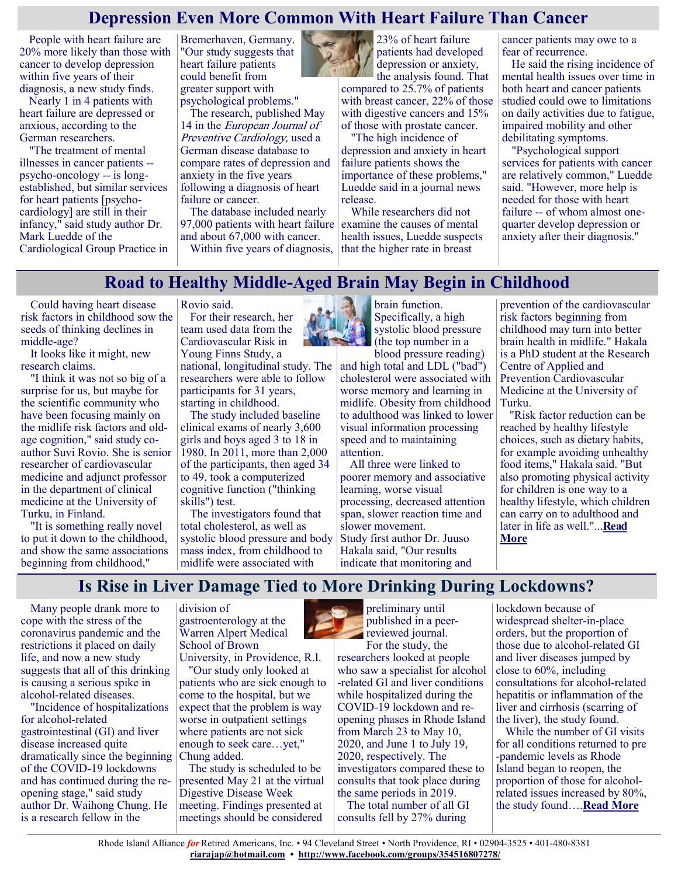# **Depression Even More Common With Heart Failure Than Cancer**

People with heart failure are 20% more likely than those with cancer to develop depression within five years of their diagnosis, a new study finds.

Nearly 1 in 4 patients with heart failure are depressed or anxious, according to the German researchers.

"The treatment of mental illnesses in cancer patients - psycho-oncology -- is longestablished, but similar services for heart patients [psychocardiology] are still in their infancy," said study author Dr. Mark Luedde of the Cardiological Group Practice in Bremerhaven, Germany. "Our study suggests that heart failure patients could benefit from greater support with psychological problems."

The research, published May 14 in the European Journal of Preventive Cardiology, used a German disease database to compare rates of depression and anxiety in the five years following a diagnosis of heart failure or cancer.

The database included nearly 97,000 patients with heart failure and about 67,000 with cancer.

Within five years of diagnosis,



23% of heart failure patients had developed depression or anxiety,

the analysis found. That compared to 25.7% of patients with breast cancer, 22% of those with digestive cancers and 15% of those with prostate cancer.

"The high incidence of depression and anxiety in heart failure patients shows the importance of these problems," Luedde said in a journal news release.

While researchers did not examine the causes of mental health issues, Luedde suspects that the higher rate in breast

cancer patients may owe to a fear of recurrence.

He said the rising incidence of mental health issues over time in both heart and cancer patients studied could owe to limitations on daily activities due to fatigue, impaired mobility and other debilitating symptoms.

"Psychological support services for patients with cancer are relatively common," Luedde said. "However, more help is needed for those with heart failure -- of whom almost onequarter develop depression or anxiety after their diagnosis."

#### **Road to Healthy Middle-Aged Brain May Begin in Childhood**

Could having heart disease risk factors in childhood sow the seeds of thinking declines in middle-age?

It looks like it might, new research claims.

"I think it was not so big of a surprise for us, but maybe for the scientific community who have been focusing mainly on the midlife risk factors and oldage cognition," said study coauthor Suvi Rovio. She is senior researcher of cardiovascular medicine and adjunct professor in the department of clinical medicine at the University of Turku, in Finland.

"It is something really novel to put it down to the childhood, and show the same associations beginning from childhood,"

Rovio said.

For their research, her team used data from the Cardiovascular Risk in Young Finns Study, a national, longitudinal study. The researchers were able to follow participants for 31 years, starting in childhood.

The study included baseline clinical exams of nearly 3,600 girls and boys aged 3 to 18 in 1980. In 2011, more than 2,000 of the participants, then aged 34 to 49, took a computerized cognitive function ("thinking skills") test.

The investigators found that total cholesterol, as well as systolic blood pressure and body mass index, from childhood to midlife were associated with



brain function. Specifically, a high systolic blood pressure (the top number in a

blood pressure reading) and high total and LDL ("bad") cholesterol were associated with worse memory and learning in midlife. Obesity from childhood to adulthood was linked to lower visual information processing speed and to maintaining attention.

All three were linked to poorer memory and associative learning, worse visual processing, decreased attention span, slower reaction time and slower movement. Study first author Dr. Juuso Hakala said, "Our results indicate that monitoring and

prevention of the cardiovascular risk factors beginning from childhood may turn into better brain health in midlife." Hakala is a PhD student at the Research Centre of Applied and Prevention Cardiovascular Medicine at the University of Turku.

"Risk factor reduction can be reached by healthy lifestyle choices, such as dietary habits, for example avoiding unhealthy food items," Hakala said. "But also promoting physical activity for children is one way to a healthy lifestyle, which children can carry on to adulthood and later in life as well."...**[Read](https://www.usnews.com/news/health-news/articles/2021-05-10/road-to-healthy-middle-aged-brain-may-begin-in-childhood)  [More](https://www.usnews.com/news/health-news/articles/2021-05-10/road-to-healthy-middle-aged-brain-may-begin-in-childhood)**

# **Is Rise in Liver Damage Tied to More Drinking During Lockdowns?**

Many people drank more to cope with the stress of the coronavirus pandemic and the restrictions it placed on daily life, and now a new study suggests that all of this drinking is causing a serious spike in alcohol-related diseases.

"Incidence of hospitalizations for alcohol-related gastrointestinal (GI) and liver disease increased quite dramatically since the beginning of the COVID-19 lockdowns and has continued during the reopening stage," said study author Dr. Waihong Chung. He is a research fellow in the

division of gastroenterology at the Warren Alpert Medical School of Brown

University, in Providence, R.I. "Our study only looked at

patients who are sick enough to come to the hospital, but we expect that the problem is way worse in outpatient settings where patients are not sick enough to seek care…yet," Chung added.

The study is scheduled to be presented May 21 at the virtual Digestive Disease Week meeting. Findings presented at meetings should be considered



preliminary until published in a peer**reviewed journal.** For the study, the

researchers looked at people who saw a specialist for alcohol -related GI and liver conditions while hospitalized during the COVID-19 lockdown and reopening phases in Rhode Island from March 23 to May 10, 2020, and June 1 to July 19, 2020, respectively. The investigators compared these to consults that took place during the same periods in 2019. The total number of all GI consults fell by 27% during

lockdown because of widespread shelter-in-place orders, but the proportion of those due to alcohol-related GI and liver diseases jumped by close to 60%, including consultations for alcohol-related hepatitis or inflammation of the liver and cirrhosis (scarring of the liver), the study found.

While the number of GI visits for all conditions returned to pre -pandemic levels as Rhode Island began to reopen, the proportion of those for alcoholrelated issues increased by 80%, the study found….**[Read More](https://consumer.healthday.com/5-14-lockdown-drinking-may-have-caused-more-cases-of-liver-damage-2652901126.html)**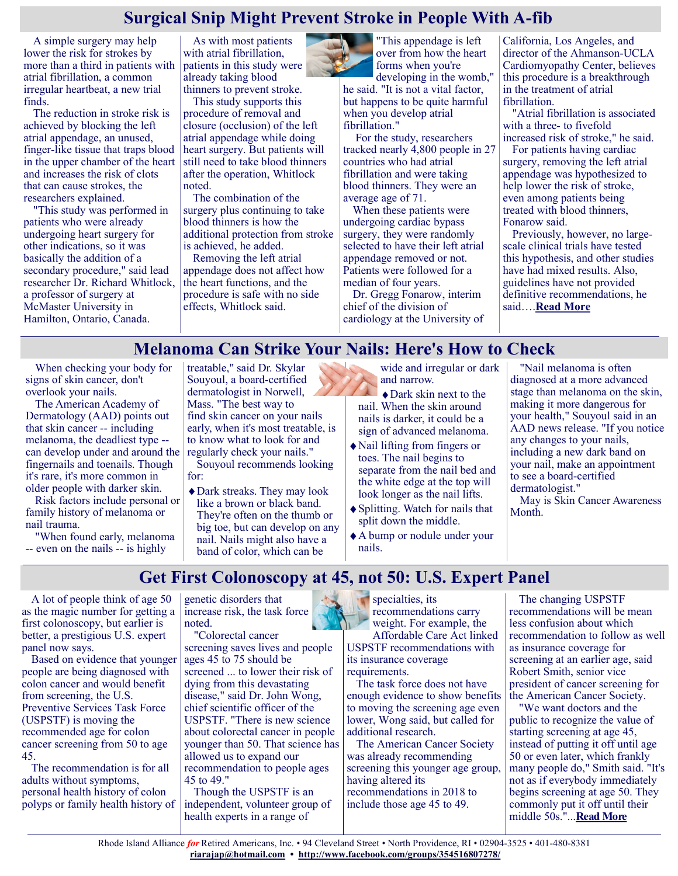### **Surgical Snip Might Prevent Stroke in People With A-fib**

A simple surgery may help lower the risk for strokes by more than a third in patients with atrial fibrillation, a common irregular heartbeat, a new trial finds.

The reduction in stroke risk is achieved by blocking the left atrial appendage, an unused, finger-like tissue that traps blood in the upper chamber of the heart and increases the risk of clots that can cause strokes, the researchers explained.

"This study was performed in patients who were already undergoing heart surgery for other indications, so it was basically the addition of a secondary procedure," said lead researcher Dr. Richard Whitlock, a professor of surgery at McMaster University in Hamilton, Ontario, Canada.

As with most patients with atrial fibrillation, patients in this study were already taking blood thinners to prevent stroke.

This study supports this procedure of removal and closure (occlusion) of the left atrial appendage while doing heart surgery. But patients will still need to take blood thinners after the operation, Whitlock noted.

The combination of the surgery plus continuing to take blood thinners is how the additional protection from stroke is achieved, he added.

Removing the left atrial appendage does not affect how the heart functions, and the procedure is safe with no side effects, Whitlock said.



"This appendage is left over from how the heart forms when you're

developing in the womb," he said. "It is not a vital factor, but happens to be quite harmful when you develop atrial fibrillation."

For the study, researchers tracked nearly 4,800 people in 27 countries who had atrial fibrillation and were taking blood thinners. They were an average age of 71.

When these patients were undergoing cardiac bypass surgery, they were randomly selected to have their left atrial appendage removed or not. Patients were followed for a median of four years.

Dr. Gregg Fonarow, interim chief of the division of cardiology at the University of California, Los Angeles, and director of the Ahmanson-UCLA Cardiomyopathy Center, believes this procedure is a breakthrough in the treatment of atrial fibrillation.

"Atrial fibrillation is associated with a three- to fivefold increased risk of stroke," he said.

For patients having cardiac surgery, removing the left atrial appendage was hypothesized to help lower the risk of stroke, even among patients being treated with blood thinners, Fonarow said.

Previously, however, no largescale clinical trials have tested this hypothesis, and other studies have had mixed results. Also, guidelines have not provided definitive recommendations, he said….**[Read More](https://consumer.healthday.com/5-17-surgical-snip-might-prevent-stroke-in-people-with-a-fib-2652978375.html)**

#### **Melanoma Can Strike Your Nails: Here's How to Check**

When checking your body for signs of skin cancer, don't overlook your nails.

The American Academy of Dermatology (AAD) points out that skin cancer -- including melanoma, the deadliest type - can develop under and around the fingernails and toenails. Though it's rare, it's more common in older people with darker skin.

Risk factors include personal or family history of melanoma or nail trauma.

"When found early, melanoma -- even on the nails -- is highly

treatable," said Dr. Skylar Souyoul, a board-certified dermatologist in Norwell, Mass. "The best way to find skin cancer on your nails early, when it's most treatable, is to know what to look for and regularly check your nails."

Souyoul recommends looking for:

Dark streaks. They may look like a brown or black band. They're often on the thumb or big toe, but can develop on any nail. Nails might also have a band of color, which can be

wide and irregular or dark and narrow.

- Dark skin next to the nail. When the skin around nails is darker, it could be a sign of advanced melanoma.
- Nail lifting from fingers or toes. The nail begins to separate from the nail bed and the white edge at the top will look longer as the nail lifts.
- Splitting. Watch for nails that split down the middle.
- A bump or nodule under your nails.

"Nail melanoma is often diagnosed at a more advanced stage than melanoma on the skin, making it more dangerous for your health," Souyoul said in an AAD news release. "If you notice any changes to your nails, including a new dark band on your nail, make an appointment to see a board-certified dermatologist."

May is Skin Cancer Awareness Month.

#### **Get First Colonoscopy at 45, not 50: U.S. Expert Panel**

A lot of people think of age 50 as the magic number for getting a first colonoscopy, but earlier is better, a prestigious U.S. expert panel now says.

Based on evidence that younger people are being diagnosed with colon cancer and would benefit from screening, the U.S. Preventive Services Task Force (USPSTF) is moving the recommended age for colon cancer screening from 50 to age 45.

The recommendation is for all adults without symptoms, personal health history of colon polyps or family health history of

genetic disorders that increase risk, the task force noted.

"Colorectal cancer screening saves lives and people ages 45 to 75 should be screened ... to lower their risk of dying from this devastating disease," said Dr. John Wong, chief scientific officer of the USPSTF. "There is new science about colorectal cancer in people younger than 50. That science has allowed us to expand our recommendation to people ages 45 to 49."

Though the USPSTF is an independent, volunteer group of health experts in a range of

specialties, its recommendations carry weight. For example, the Affordable Care Act linked USPSTF recommendations with its insurance coverage requirements.

The task force does not have enough evidence to show benefits to moving the screening age even lower, Wong said, but called for additional research.

The American Cancer Society was already recommending screening this younger age group, having altered its recommendations in 2018 to include those age 45 to 49.

The changing USPSTF recommendations will be mean less confusion about which recommendation to follow as well as insurance coverage for screening at an earlier age, said Robert Smith, senior vice president of cancer screening for the American Cancer Society.

"We want doctors and the public to recognize the value of starting screening at age 45, instead of putting it off until age 50 or even later, which frankly many people do," Smith said. "It's not as if everybody immediately begins screening at age 50. They commonly put it off until their middle 50s."...**[Read More](https://consumer.healthday.com/5-18-get-first-colonoscopy-at-45-not-50-u-s-expert-panel-2652978120.html)**